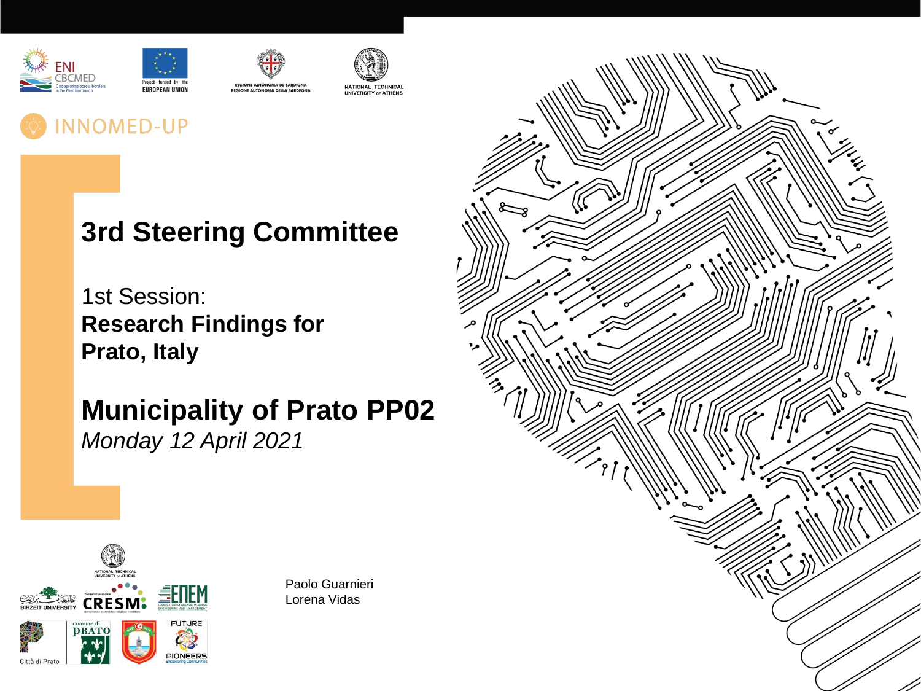







# **INNOMED-UP**

# **3rd Steering Committee**

1st Session: **Research Findings for Prato, Italy**

**Municipality of Prato PP02** *Monday 12 April 2021*



Paolo Guarnieri Lorena Vidas

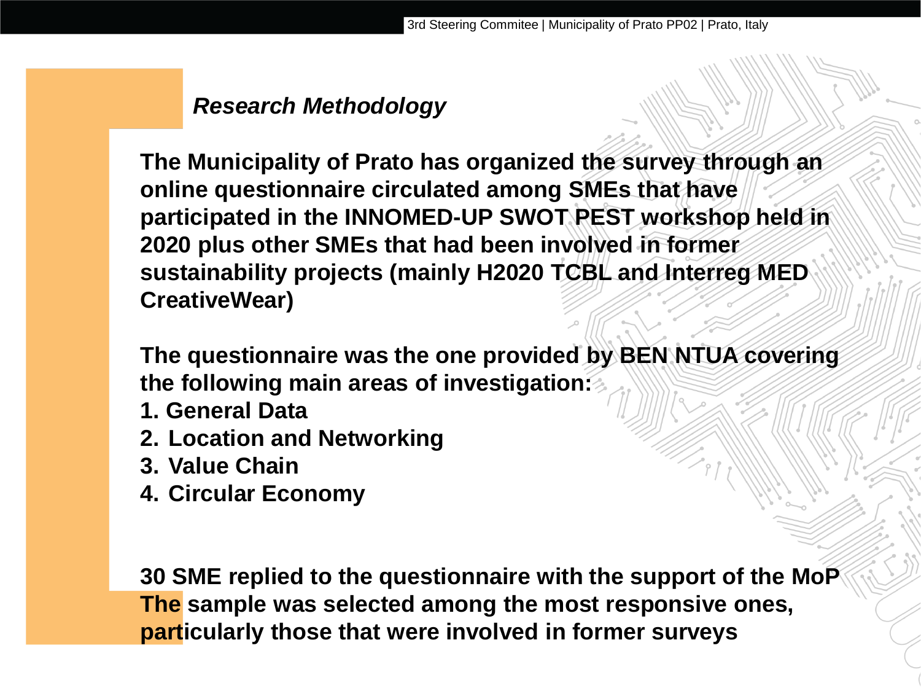## *Research Methodology*

**The Municipality of Prato has organized the survey through an online questionnaire circulated among SMEs that have participated in the INNOMED-UP SWOT PEST workshop held in 2020 plus other SMEs that had been involved in former sustainability projects (mainly H2020 TCBL and Interreg MED CreativeWear)**

**The questionnaire was the one provided by BEN NTUA covering the following main areas of investigation:**

- **1. General Data**
- **2. Location and Networking**
- **3. Value Chain**
- **4. Circular Economy**

**30 SME replied to the questionnaire with the support of the MoP The sample was selected among the most responsive ones, particularly those that were involved in former surveys**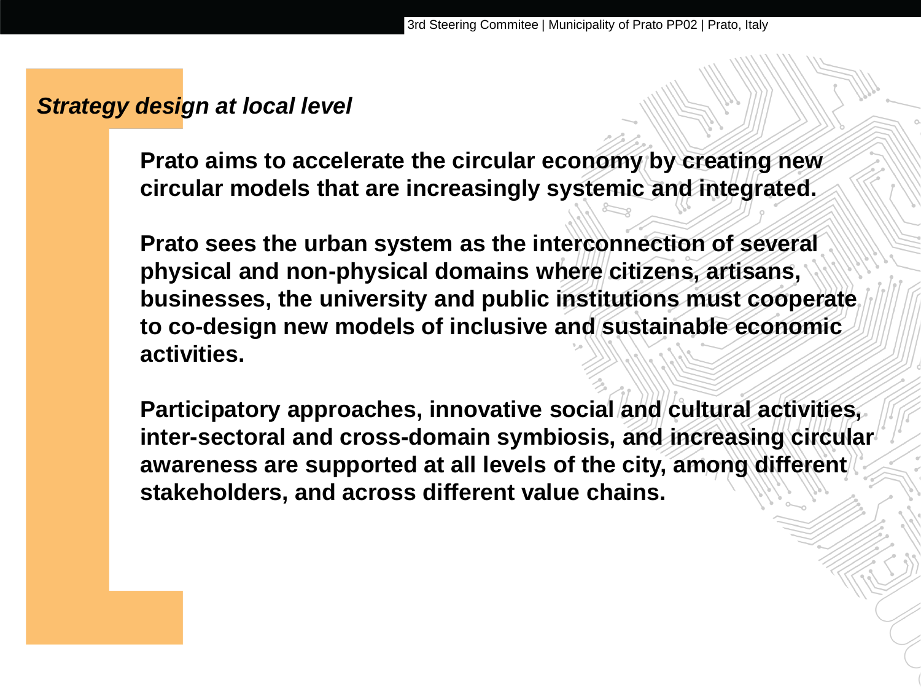#### *Strategy design at local level*

**Prato aims to accelerate the circular economy by creating new circular models that are increasingly systemic and integrated.** 

**Prato sees the urban system as the interconnection of several physical and non-physical domains where citizens, artisans, businesses, the university and public institutions must cooperate to co-design new models of inclusive and sustainable economic activities.**

**Participatory approaches, innovative social and cultural activities, inter-sectoral and cross-domain symbiosis, and increasing circular awareness are supported at all levels of the city, among different stakeholders, and across different value chains.**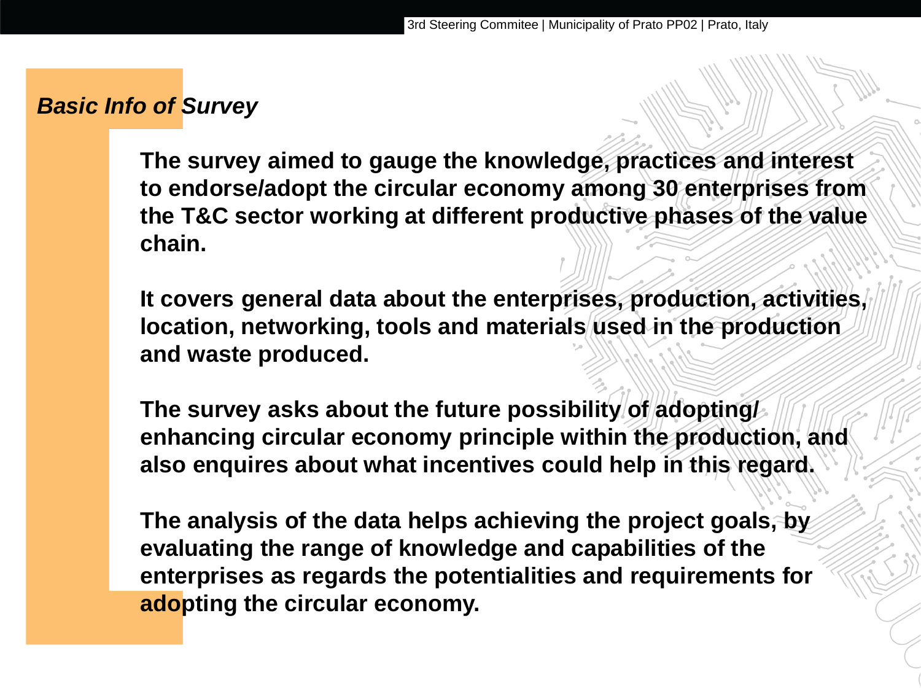#### *Basic Info of Survey*

**The survey aimed to gauge the knowledge, practices and interest to endorse/adopt the circular economy among 30 enterprises from the T&C sector working at different productive phases of the value chain.**

**It covers general data about the enterprises, production, activities, location, networking, tools and materials used in the production and waste produced.** 

**The survey asks about the future possibility of adopting/ enhancing circular economy principle within the production, and also enquires about what incentives could help in this regard.** 

**The analysis of the data helps achieving the project goals, by evaluating the range of knowledge and capabilities of the enterprises as regards the potentialities and requirements for adopting the circular economy.**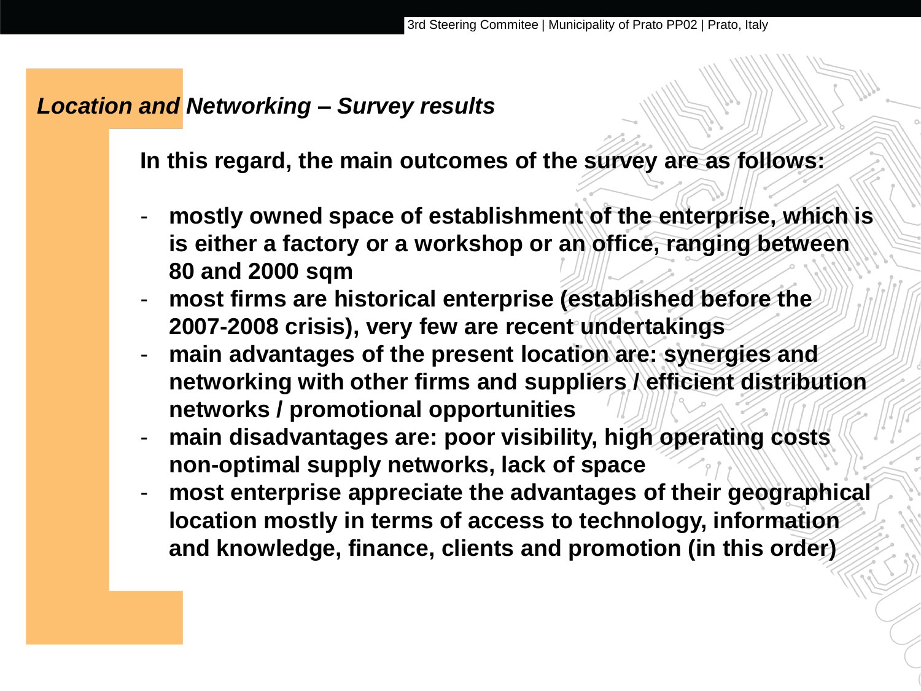#### *Location and Networking – Survey results*

**In this regard, the main outcomes of the survey are as follows:**

- **mostly owned space of establishment of the enterprise, which is is either a factory or a workshop or an office, ranging between 80 and 2000 sqm**
- **most firms are historical enterprise (established before the 2007-2008 crisis), very few are recent undertakings**
- **main advantages of the present location are: synergies and networking with other firms and suppliers / efficient distribution networks / promotional opportunities**
- **main disadvantages are: poor visibility, high operating costs non-optimal supply networks, lack of space**
- **most enterprise appreciate the advantages of their geographical location mostly in terms of access to technology, information and knowledge, finance, clients and promotion (in this order)**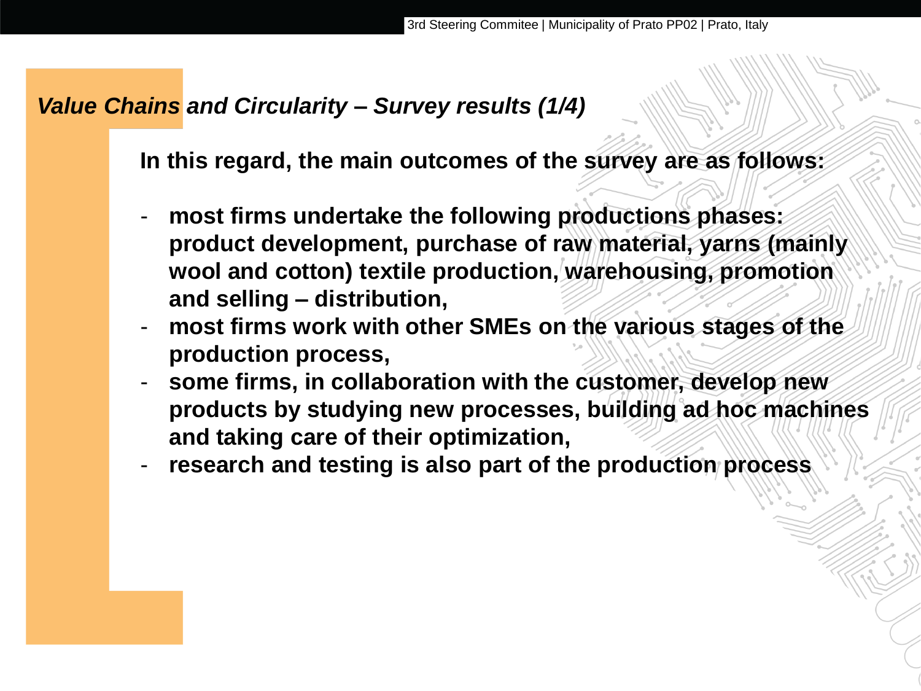#### *Value Chains and Circularity – Survey results (1/4)*

**In this regard, the main outcomes of the survey are as follows:**

- **most firms undertake the following productions phases: product development, purchase of raw material, yarns (mainly wool and cotton) textile production, warehousing, promotion and selling – distribution,**
- most firms work with other SMEs on the various stages of the **production process,**
- **some firms, in collaboration with the customer, develop new products by studying new processes, building ad hoc machines and taking care of their optimization,**
- research and testing is also part of the production process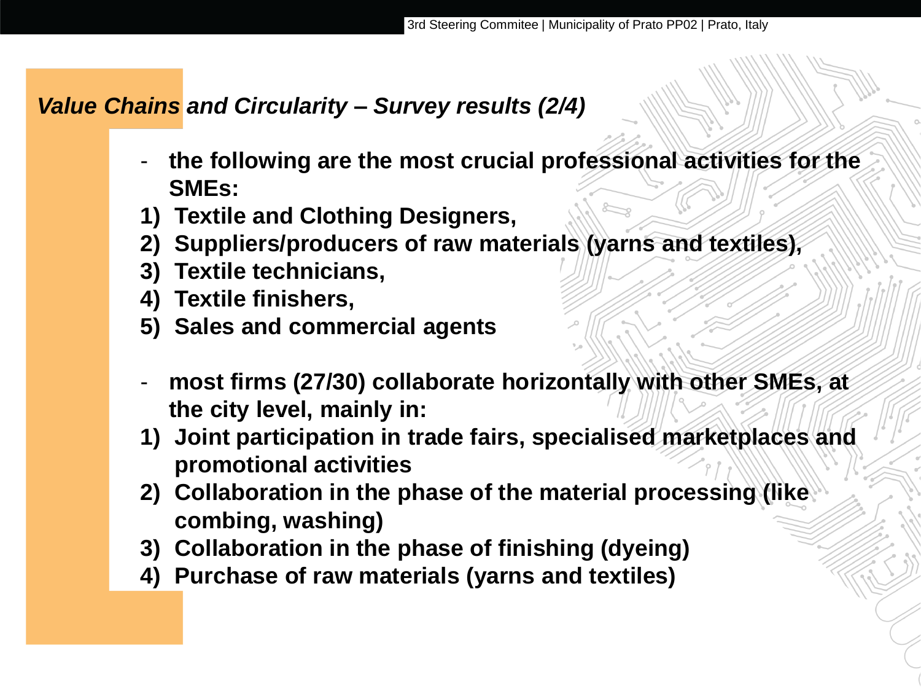## *Value Chains and Circularity – Survey results (2/4)*

- **the following are the most crucial professional activities for the SMEs:**
- **1) Textile and Clothing Designers,**
- **2) Suppliers/producers of raw materials (yarns and textiles),**
- **3) Textile technicians,**
- **4) Textile finishers,**
- **5) Sales and commercial agents**
- most firms (27/30) collaborate horizontally with other SMEs, at **the city level, mainly in:**
- **1) Joint participation in trade fairs, specialised marketplaces and promotional activities**
- **2) Collaboration in the phase of the material processing (like combing, washing)**
- **3) Collaboration in the phase of finishing (dyeing)**
- **4) Purchase of raw materials (yarns and textiles)**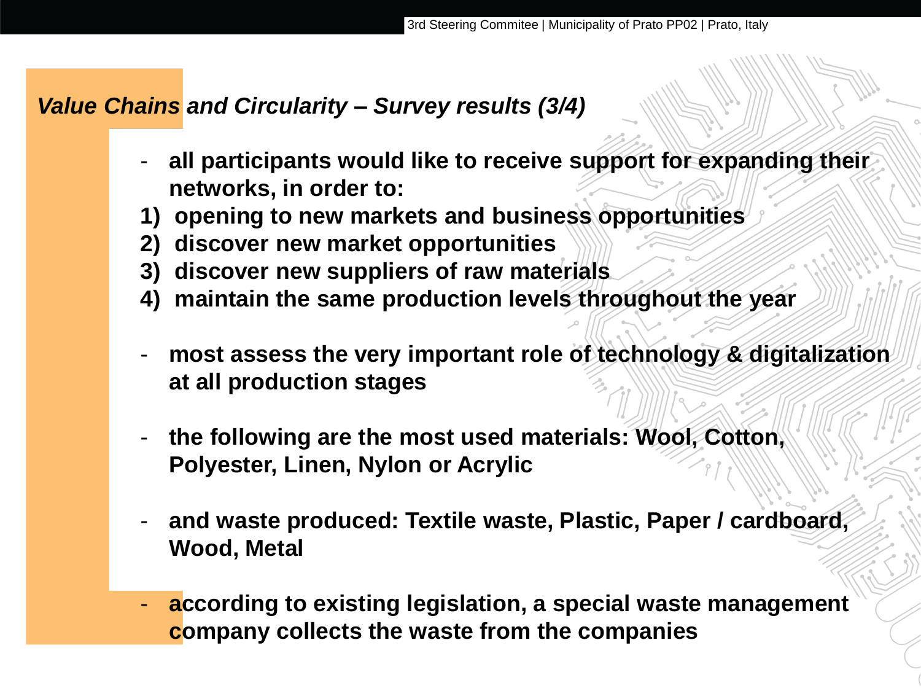#### *Value Chains and Circularity – Survey results (3/4)*

- **all participants would like to receive support for expanding their networks, in order to:**
- **1) opening to new markets and business opportunities**
- **2) discover new market opportunities**
- **3) discover new suppliers of raw materials**
- **4) maintain the same production levels throughout the year**
- **most assess the very important role of technology & digitalization at all production stages**
- **the following are the most used materials: Wool, Cotton, Polyester, Linen, Nylon or Acrylic**
- **and waste produced: Textile waste, Plastic, Paper / cardboard, Wood, Metal**
- **according to existing legislation, a special waste management company collects the waste from the companies**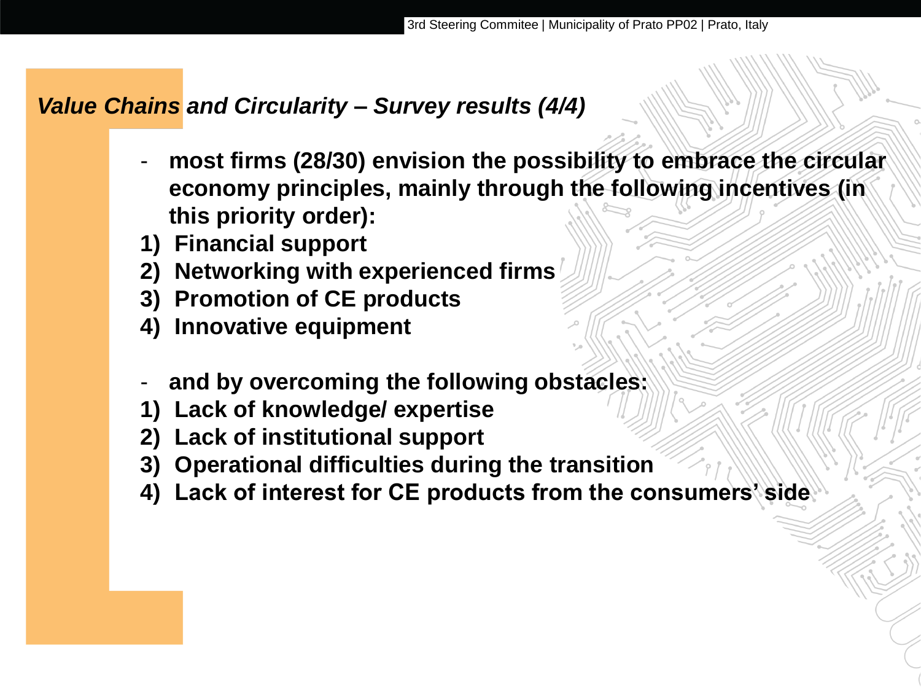#### *Value Chains and Circularity – Survey results (4/4)*

- **most firms (28/30) envision the possibility to embrace the circular economy principles, mainly through the following incentives (in this priority order):**
- **1) Financial support**
- **2) Networking with experienced firms**
- **3) Promotion of CE products**
- **4) Innovative equipment**
- **and by overcoming the following obstacles:**
- **1) Lack of knowledge/ expertise**
- **2) Lack of institutional support**
- **3) Operational difficulties during the transition**
- **4) Lack of interest for CE products from the consumers' side**